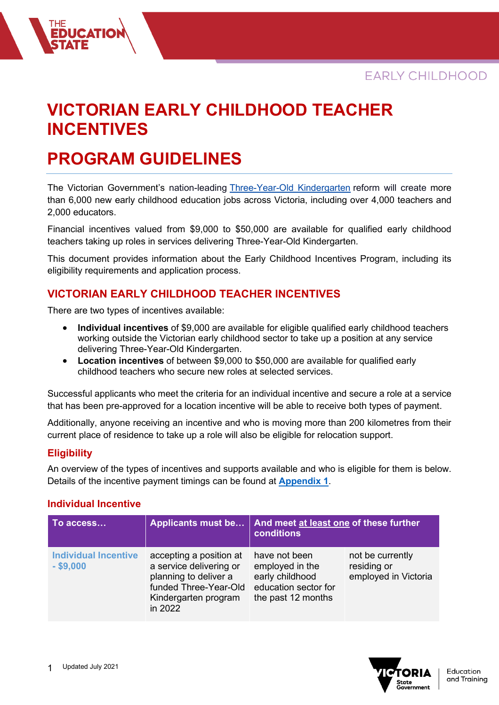# **VICTORIAN EARLY CHILDHOOD TEACHER INCENTIVES**

# **PROGRAM GUIDELINES**

**DUCATIO** 

The Victorian Government's nation-leading [Three-Year-Old Kindergarten](https://www.vic.gov.au/kinder) reform will create more than 6,000 new early childhood education jobs across Victoria, including over 4,000 teachers and 2,000 educators.

Financial incentives valued from \$9,000 to \$50,000 are available for qualified early childhood teachers taking up roles in services delivering Three-Year-Old Kindergarten.

This document provides information about the Early Childhood Incentives Program, including its eligibility requirements and application process.

### **VICTORIAN EARLY CHILDHOOD TEACHER INCENTIVES**

There are two types of incentives available:

- **Individual incentives** of \$9,000 are available for eligible qualified early childhood teachers working outside the Victorian early childhood sector to take up a position at any service delivering Three-Year-Old Kindergarten.
- **Location incentives** of between \$9,000 to \$50,000 are available for qualified early childhood teachers who secure new roles at selected services.

Successful applicants who meet the criteria for an individual incentive and secure a role at a service that has been pre-approved for a location incentive will be able to receive both types of payment.

Additionally, anyone receiving an incentive and who is moving more than 200 kilometres from their current place of residence to take up a role will also be eligible for relocation support.

#### **Eligibility**

An overview of the types of incentives and supports available and who is eligible for them is below. Details of the incentive payment timings can be found at **Appendix 1**.

#### **Individual Incentive**

| To access                                  | <b>Applicants must be</b>                                                                                                               | And meet at least one of these further<br>conditions                                              |                                                         |
|--------------------------------------------|-----------------------------------------------------------------------------------------------------------------------------------------|---------------------------------------------------------------------------------------------------|---------------------------------------------------------|
| <b>Individual Incentive</b><br>$-$ \$9,000 | accepting a position at<br>a service delivering or<br>planning to deliver a<br>funded Three-Year-Old<br>Kindergarten program<br>in 2022 | have not been<br>employed in the<br>early childhood<br>education sector for<br>the past 12 months | not be currently<br>residing or<br>employed in Victoria |

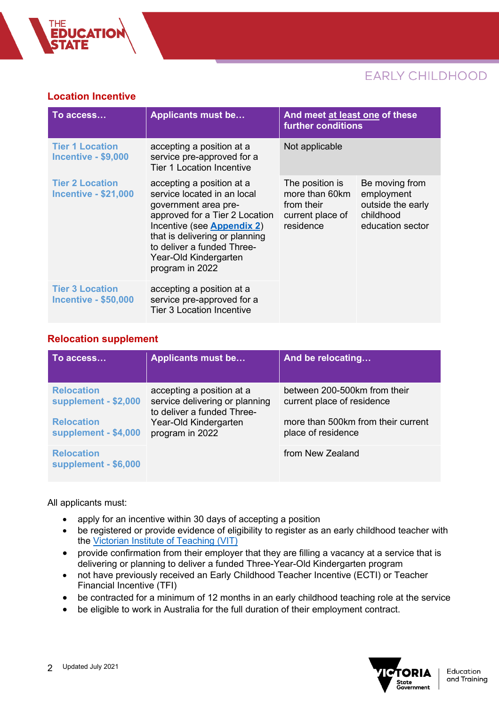#### **Location Incentive**

**DUCATIO** 

| To access                                             | <b>Applicants must be</b>                                                                                                                                                                                                                                    | And meet at least one of these<br>further conditions                             |                                                                                    |
|-------------------------------------------------------|--------------------------------------------------------------------------------------------------------------------------------------------------------------------------------------------------------------------------------------------------------------|----------------------------------------------------------------------------------|------------------------------------------------------------------------------------|
| <b>Tier 1 Location</b><br><b>Incentive - \$9,000</b>  | accepting a position at a<br>service pre-approved for a<br><b>Tier 1 Location Incentive</b>                                                                                                                                                                  | Not applicable                                                                   |                                                                                    |
| <b>Tier 2 Location</b><br><b>Incentive - \$21,000</b> | accepting a position at a<br>service located in an local<br>government area pre-<br>approved for a Tier 2 Location<br>Incentive (see Appendix 2)<br>that is delivering or planning<br>to deliver a funded Three-<br>Year-Old Kindergarten<br>program in 2022 | The position is<br>more than 60km<br>from their<br>current place of<br>residence | Be moving from<br>employment<br>outside the early<br>childhood<br>education sector |
| <b>Tier 3 Location</b><br><b>Incentive - \$50,000</b> | accepting a position at a<br>service pre-approved for a<br><b>Tier 3 Location Incentive</b>                                                                                                                                                                  |                                                                                  |                                                                                    |

#### **Relocation supplement**

| To access                                 | <b>Applicants must be</b>                                                                                                             | And be relocating                                          |  |
|-------------------------------------------|---------------------------------------------------------------------------------------------------------------------------------------|------------------------------------------------------------|--|
| <b>Relocation</b><br>supplement - \$2,000 | accepting a position at a<br>service delivering or planning<br>to deliver a funded Three-<br>Year-Old Kindergarten<br>program in 2022 | between 200-500km from their<br>current place of residence |  |
| <b>Relocation</b><br>supplement - \$4,000 |                                                                                                                                       | more than 500km from their current<br>place of residence   |  |
| <b>Relocation</b><br>supplement - \$6,000 |                                                                                                                                       | from New Zealand                                           |  |

All applicants must:

- apply for an incentive within 30 days of accepting a position
- be registered or provide evidence of eligibility to register as an early childhood teacher with the [Victorian Institute of Teaching](https://www.vit.vic.edu.au/register/how-to) (VIT)
- provide confirmation from their employer that they are filling a vacancy at a service that is delivering or planning to deliver a funded Three-Year-Old Kindergarten program
- not have previously received an Early Childhood Teacher Incentive (ECTI) or Teacher Financial Incentive (TFI)
- be contracted for a minimum of 12 months in an early childhood teaching role at the service
- be eligible to work in Australia for the full duration of their employment contract.

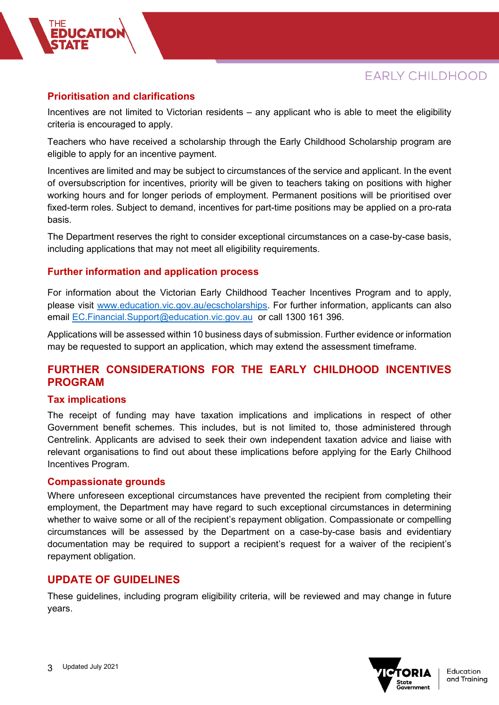#### **Prioritisation and clarifications**

Incentives are not limited to Victorian residents – any applicant who is able to meet the eligibility criteria is encouraged to apply.

Teachers who have received a scholarship through the Early Childhood Scholarship program are eligible to apply for an incentive payment.

Incentives are limited and may be subject to circumstances of the service and applicant. In the event of oversubscription for incentives, priority will be given to teachers taking on positions with higher working hours and for longer periods of employment. Permanent positions will be prioritised over fixed-term roles. Subject to demand, incentives for part-time positions may be applied on a pro-rata basis.

The Department reserves the right to consider exceptional circumstances on a case-by-case basis, including applications that may not meet all eligibility requirements.

#### **Further information and application process**

For information about the Victorian Early Childhood Teacher Incentives Program and to apply, please visit [www.education.vic.gov.au/ecscholarships.](http://www.education.vic.gov.au/ecscholarships) For further information, applicants can also email [EC.Financial.Support@education.vic.gov.au](mailto:EC.Financial.Support@education.vic.gov.au) or call 1300 161 396.

Applications will be assessed within 10 business days of submission. Further evidence or information may be requested to support an application, which may extend the assessment timeframe.

### **FURTHER CONSIDERATIONS FOR THE EARLY CHILDHOOD INCENTIVES PROGRAM**

#### **Tax implications**

The receipt of funding may have taxation implications and implications in respect of other Government benefit schemes. This includes, but is not limited to, those administered through Centrelink. Applicants are advised to seek their own independent taxation advice and liaise with relevant organisations to find out about these implications before applying for the Early Chilhood Incentives Program.

#### **Compassionate grounds**

Where unforeseen exceptional circumstances have prevented the recipient from completing their employment, the Department may have regard to such exceptional circumstances in determining whether to waive some or all of the recipient's repayment obligation. Compassionate or compelling circumstances will be assessed by the Department on a case-by-case basis and evidentiary documentation may be required to support a recipient's request for a waiver of the recipient's repayment obligation.

#### **UPDATE OF GUIDELINES**

These guidelines, including program eligibility criteria, will be reviewed and may change in future years.

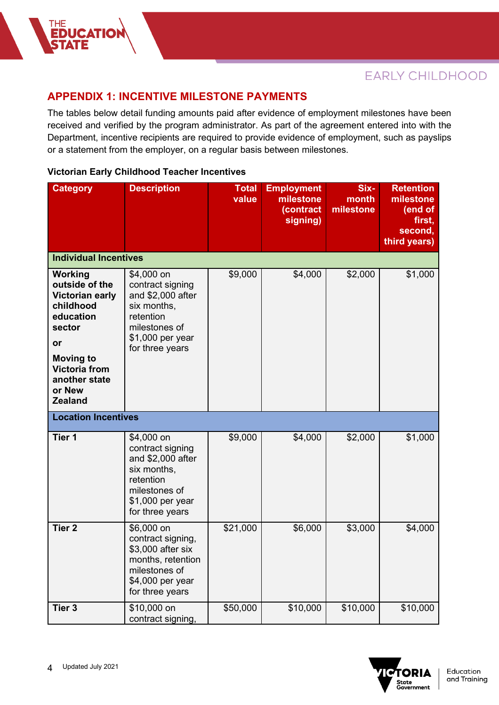### **APPENDIX 1: INCENTIVE MILESTONE PAYMENTS**

The tables below detail funding amounts paid after evidence of employment milestones have been received and verified by the program administrator. As part of the agreement entered into with the Department, incentive recipients are required to provide evidence of employment, such as payslips or a statement from the employer, on a regular basis between milestones.

#### **Victorian Early Childhood Teacher Incentives**

THE<br>**Educatio**i<br><mark>State</mark>

| <b>Category</b>                                                                                                                                                                 | <b>Description</b>                                                                                                                      | <b>Total</b><br>value | <b>Employment</b><br>milestone<br>(contract<br>signing) | Six-<br>month<br>milestone | <b>Retention</b><br>milestone<br>(end of<br>first,<br>second,<br>third years) |
|---------------------------------------------------------------------------------------------------------------------------------------------------------------------------------|-----------------------------------------------------------------------------------------------------------------------------------------|-----------------------|---------------------------------------------------------|----------------------------|-------------------------------------------------------------------------------|
| <b>Individual Incentives</b>                                                                                                                                                    |                                                                                                                                         |                       |                                                         |                            |                                                                               |
| Working<br>outside of the<br>Victorian early<br>childhood<br>education<br>sector<br>or<br><b>Moving to</b><br><b>Victoria from</b><br>another state<br>or New<br><b>Zealand</b> | \$4,000 on<br>contract signing<br>and \$2,000 after<br>six months,<br>retention<br>milestones of<br>\$1,000 per year<br>for three years | \$9,000               | \$4,000                                                 | \$2,000                    | \$1,000                                                                       |
| <b>Location Incentives</b>                                                                                                                                                      |                                                                                                                                         |                       |                                                         |                            |                                                                               |
| Tier 1                                                                                                                                                                          | \$4,000 on<br>contract signing<br>and \$2,000 after<br>six months,<br>retention<br>milestones of<br>\$1,000 per year<br>for three years | \$9,000               | \$4,000                                                 | \$2,000                    | \$1,000                                                                       |
| <b>Tier 2</b>                                                                                                                                                                   | \$6,000 on<br>contract signing,<br>\$3,000 after six<br>months, retention<br>milestones of<br>\$4,000 per year<br>for three years       | \$21,000              | \$6,000                                                 | \$3,000                    | \$4,000                                                                       |
| Tier <sub>3</sub>                                                                                                                                                               | \$10,000 on<br>contract signing,                                                                                                        | \$50,000              | \$10,000                                                | \$10,000                   | \$10,000                                                                      |

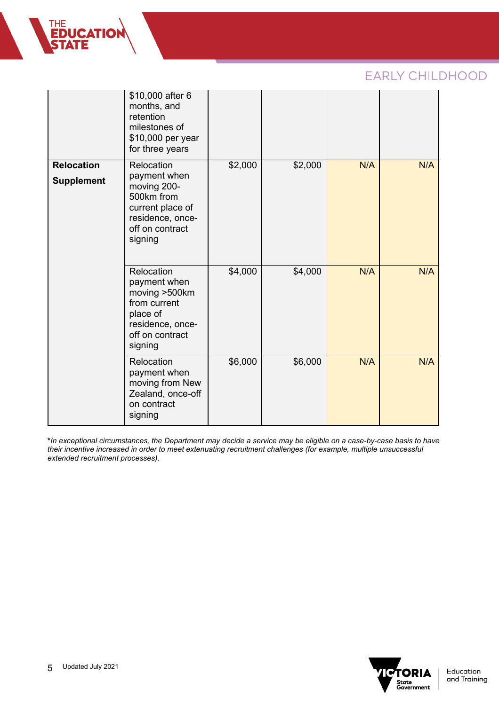|                                        | \$10,000 after 6<br>months, and<br>retention<br>milestones of<br>\$10,000 per year<br>for three years                         |         |         |     |     |
|----------------------------------------|-------------------------------------------------------------------------------------------------------------------------------|---------|---------|-----|-----|
| <b>Relocation</b><br><b>Supplement</b> | Relocation<br>payment when<br>moving 200-<br>500km from<br>current place of<br>residence, once-<br>off on contract<br>signing | \$2,000 | \$2,000 | N/A | N/A |
|                                        | Relocation<br>payment when<br>moving >500km<br>from current<br>place of<br>residence, once-<br>off on contract<br>signing     | \$4,000 | \$4,000 | N/A | N/A |
|                                        | Relocation<br>payment when<br>moving from New<br>Zealand, once-off<br>on contract<br>signing                                  | \$6,000 | \$6,000 | N/A | N/A |

**\****In exceptional circumstances, the Department may decide a service may be eligible on a case-by-case basis to have their incentive increased in order to meet extenuating recruitment challenges (for example, multiple unsuccessful extended recruitment processes).* 



Education and Training

THE<br>**EDUCATION<br>STATE**